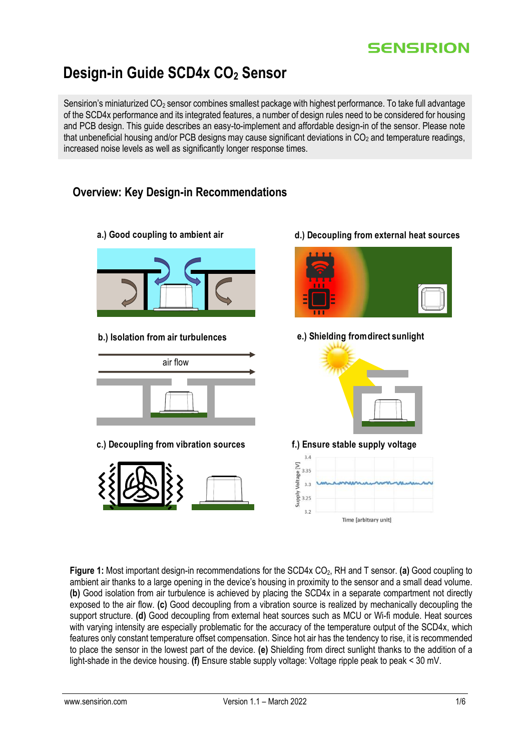## **SENSIRION**

d.) Decoupling from external heat sources

# **Design-in Guide SCD4x CO<sup>2</sup> Sensor**

Sensirion's miniaturized CO<sub>2</sub> sensor combines smallest package with highest performance. To take full advantage of the SCD4x performance and its integrated features, a number of design rules need to be considered for housing and PCB design. This guide describes an easy-to-implement and affordable design-in of the sensor. Please note that unbeneficial housing and/or PCB designs may cause significant deviations in  $CO<sub>2</sub>$  and temperature readings, increased noise levels as well as significantly longer response times.

### **Overview: Key Design-in Recommendations**

a.) Good coupling to ambient air

- e.) Shielding from direct sunlight b.) Isolation from air turbulences air flow c.) Decoupling from vibration sources f.) Ensure stable supply voltage  $34$ Σ 335 Voltage  $3.3$ Viddns  $3.25$  $3.2$ Time farbitrary unit)
- **Figure 1:** Most important design-in recommendations for the SCD4x CO2, RH and T sensor. **(a)** Good coupling to ambient air thanks to a large opening in the device's housing in proximity to the sensor and a small dead volume. **(b)** Good isolation from air turbulence is achieved by placing the SCD4x in a separate compartment not directly exposed to the air flow. **(c)** Good decoupling from a vibration source is realized by mechanically decoupling the support structure. **(d)** Good decoupling from external heat sources such as MCU or Wi-fi module. Heat sources with varying intensity are especially problematic for the accuracy of the temperature output of the SCD4x, which features only constant temperature offset compensation. Since hot air has the tendency to rise, it is recommended to place the sensor in the lowest part of the device. **(e)** Shielding from direct sunlight thanks to the addition of a light-shade in the device housing. **(f)** Ensure stable supply voltage: Voltage ripple peak to peak < 30 mV.
	-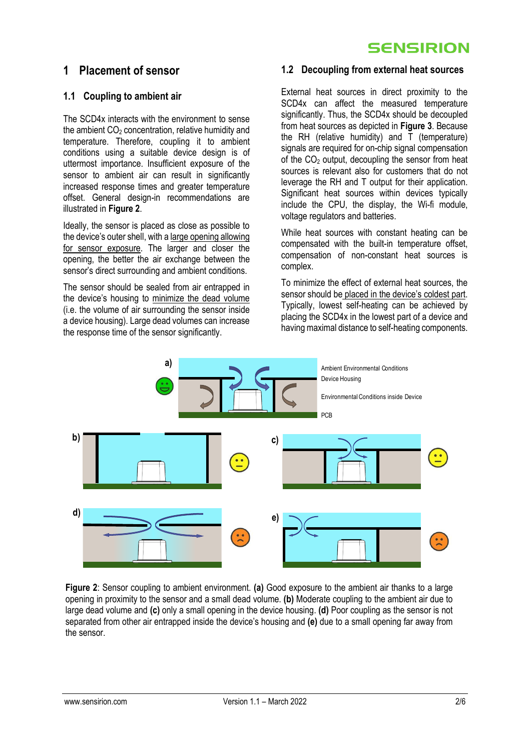## **SENSIRION**

### **1 Placement of sensor**

#### **1.1 Coupling to ambient air**

The SCD4x interacts with the environment to sense the ambient  $CO<sub>2</sub>$  concentration, relative humidity and temperature. Therefore, coupling it to ambient conditions using a suitable device design is of uttermost importance. Insufficient exposure of the sensor to ambient air can result in significantly increased response times and greater temperature offset. General design-in recommendations are illustrated in **[Figure 2](#page-1-0)**.

Ideally, the sensor is placed as close as possible to the device's outer shell, with a large opening allowing for sensor exposure. The larger and closer the opening, the better the air exchange between the sensor's direct surrounding and ambient conditions.

The sensor should be sealed from air entrapped in the device's housing to minimize the dead volume (i.e. the volume of air surrounding the sensor inside a device housing). Large dead volumes can increase the response time of the sensor significantly.

#### **1.2 Decoupling from external heat sources**

External heat sources in direct proximity to the SCD4x can affect the measured temperature significantly. Thus, the SCD4x should be decoupled from heat sources as depicted in **[Figure 3](#page-2-0)**. Because the RH (relative humidity) and T (temperature) signals are required for on-chip signal compensation of the  $CO<sub>2</sub>$  output, decoupling the sensor from heat sources is relevant also for customers that do not leverage the RH and T output for their application. Significant heat sources within devices typically include the CPU, the display, the Wi-fi module, voltage regulators and batteries.

While heat sources with constant heating can be compensated with the built-in temperature offset, compensation of non-constant heat sources is complex.

To minimize the effect of external heat sources, the sensor should be placed in the device's coldest part. Typically, lowest self-heating can be achieved by placing the SCD4x in the lowest part of a device and having maximal distance to self-heating components.



<span id="page-1-0"></span>**Figure 2**: Sensor coupling to ambient environment. **(a)** Good exposure to the ambient air thanks to a large opening in proximity to the sensor and a small dead volume. **(b)** Moderate coupling to the ambient air due to large dead volume and **(c)** only a small opening in the device housing. **(d)** Poor coupling as the sensor is not separated from other air entrapped inside the device's housing and **(e)** due to a small opening far away from the sensor.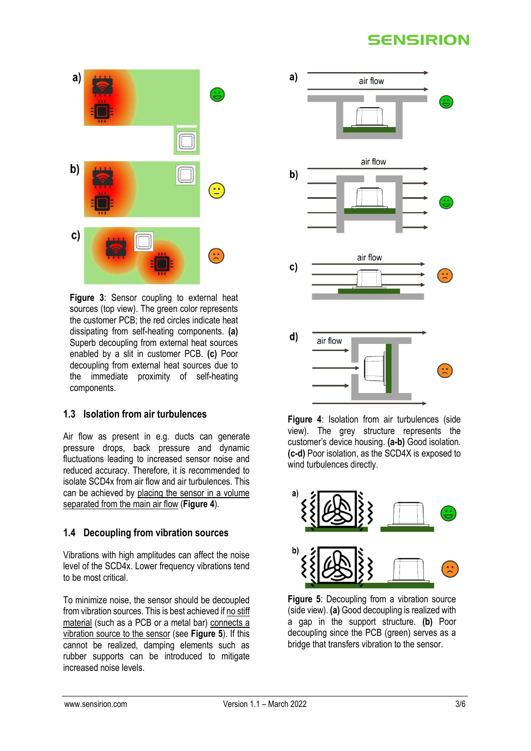# **SENSIRION**



<span id="page-2-0"></span>**Figure 3**: Sensor coupling to external heat sources (top view). The green color represents the customer PCB; the red circles indicate heat dissipating from self-heating components. **(a)** Superb decoupling from external heat sources enabled by a slit in customer PCB. **(c)** Poor decoupling from external heat sources due to the immediate proximity of self-heating components.

### **1.3 Isolation from air turbulences**

Air flow as present in e.g. ducts can generate pressure drops, back pressure and dynamic fluctuations leading to increased sensor noise and reduced accuracy. Therefore, it is recommended to isolate SCD4x from air flow and air turbulences. This can be achieved by placing the sensor in a volume separated from the main air flow (**[Figure 4](#page-2-1)**).

### **1.4 Decoupling from vibration sources**

Vibrations with high amplitudes can affect the noise level of the SCD4x. Lower frequency vibrations tend to be most critical.

To minimize noise, the sensor should be decoupled from vibration sources. This is best achieved if no stiff material (such as a PCB or a metal bar) connects a vibration source to the sensor (see **[Figure 5](#page-2-2)**). If this cannot be realized, damping elements such as rubber supports can be introduced to mitigate increased noise levels.



<span id="page-2-1"></span>**Figure 4**: Isolation from air turbulences (side view). The grey structure represents the customer's device housing. **(a-b)** Good isolation. **(c-d)** Poor isolation, as the SCD4X is exposed to wind turbulences directly.



<span id="page-2-2"></span>**Figure 5**: Decoupling from a vibration source (side view). **(a)** Good decoupling is realized with a gap in the support structure. **(b)** Poor decoupling since the PCB (green) serves as a bridge that transfers vibration to the sensor.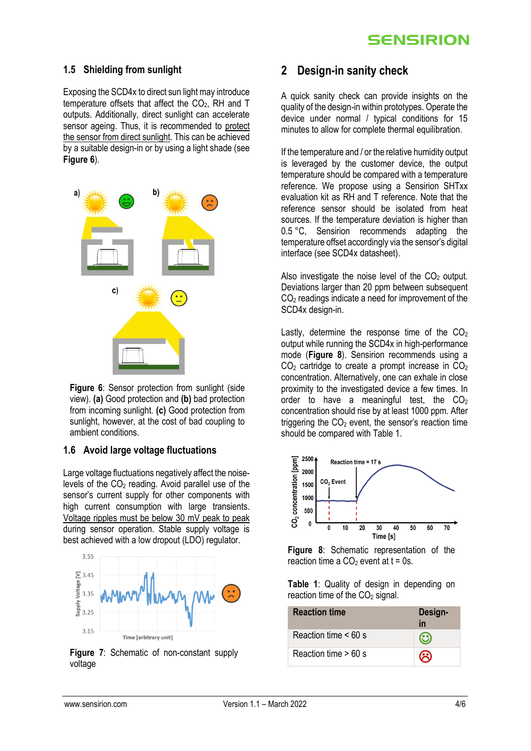#### **1.5 Shielding from sunlight**

Exposing the SCD4x to direct sun light may introduce temperature offsets that affect the CO<sub>2</sub>. RH and T outputs. Additionally, direct sunlight can accelerate sensor ageing. Thus, it is recommended to protect the sensor from direct sunlight. This can be achieved by a suitable design-in or by using a light shade (see **[Figure 6](#page-3-0)**).



<span id="page-3-0"></span>**Figure 6:** Sensor protection from sunlight (side) view). **(a)** Good protection and **(b)** bad protection from incoming sunlight. **(c)** Good protection from sunlight, however, at the cost of bad coupling to ambient conditions.

### **1.6 Avoid large voltage fluctuations**

Large voltage fluctuations negatively affect the noiselevels of the CO<sup>2</sup> reading. Avoid parallel use of the sensor's current supply for other components with high current consumption with large transients. Voltage ripples must be below 30 mV peak to peak during sensor operation. Stable supply voltage is best achieved with a low dropout (LDO) regulator.



**Figure 7**: Schematic of non-constant supply voltage

### **2 Design-in sanity check**

A quick sanity check can provide insights on the quality of the design-in within prototypes. Operate the device under normal / typical conditions for 15 minutes to allow for complete thermal equilibration.

If the temperature and / or the relative humidity output is leveraged by the customer device, the output temperature should be compared with a temperature reference. We propose using a Sensirion SHTxx evaluation kit as RH and T reference. Note that the reference sensor should be isolated from heat sources. If the temperature deviation is higher than 0.5 °C, Sensirion recommends adapting the temperature offset accordingly via the sensor's digital interface (see SCD4x datasheet).

Also investigate the noise level of the  $CO<sub>2</sub>$  output. Deviations larger than 20 ppm between subsequent  $CO<sub>2</sub>$  readings indicate a need for improvement of the SCD4x design-in.

Lastly, determine the response time of the  $CO<sub>2</sub>$ output while running the SCD4x in high-performance mode (**[Figure 8](#page-3-1)**). Sensirion recommends using a  $CO<sub>2</sub>$  cartridge to create a prompt increase in  $CO<sub>2</sub>$ concentration. Alternatively, one can exhale in close proximity to the investigated device a few times. In order to have a meaningful test, the  $CO<sub>2</sub>$ concentration should rise by at least 1000 ppm. After triggering the  $CO<sub>2</sub>$  event, the sensor's reaction time should be compared with Table 1.



<span id="page-3-1"></span>**Figure 8**: Schematic representation of the reaction time a  $CO<sub>2</sub>$  event at t = 0s.

**Table 1**: Quality of design in depending on reaction time of the  $CO<sub>2</sub>$  signal.

| <b>Reaction time</b>      | Design-<br>in |
|---------------------------|---------------|
| Reaction time $\leq 60$ s |               |
| Reaction time $> 60$ s    | $\mathbf{S}$  |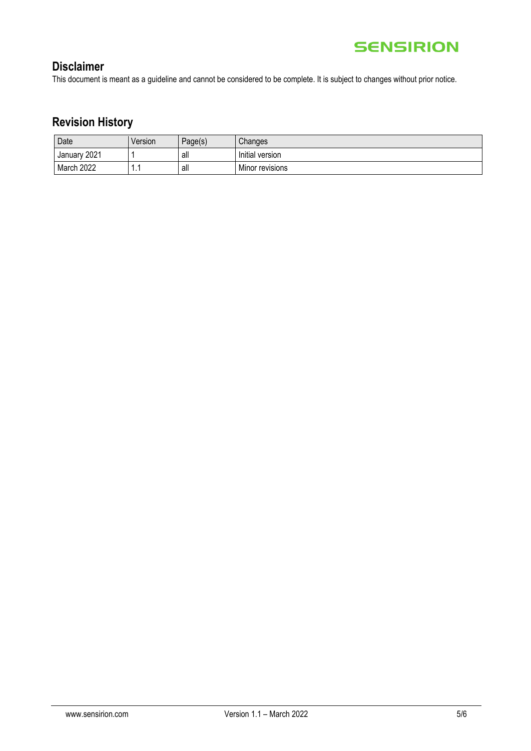

## **Disclaimer**

This document is meant as a guideline and cannot be considered to be complete. It is subject to changes without prior notice.

# **Revision History**

| Date            | Version | Page(s) | Changes         |
|-----------------|---------|---------|-----------------|
| 2021<br>January |         | all     | Initial version |
| March 2022      | и<br>   | all     | Minor revisions |